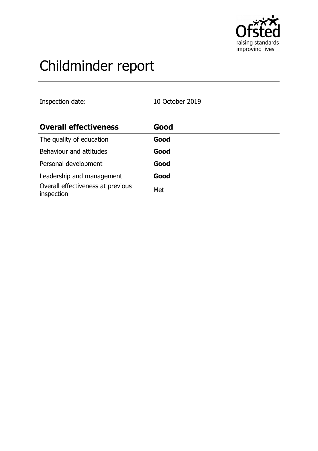

# Childminder report

Inspection date: 10 October 2019

| <b>Overall effectiveness</b>                    | Good |
|-------------------------------------------------|------|
| The quality of education                        | Good |
| Behaviour and attitudes                         | Good |
| Personal development                            | Good |
| Leadership and management                       | Good |
| Overall effectiveness at previous<br>inspection | Met  |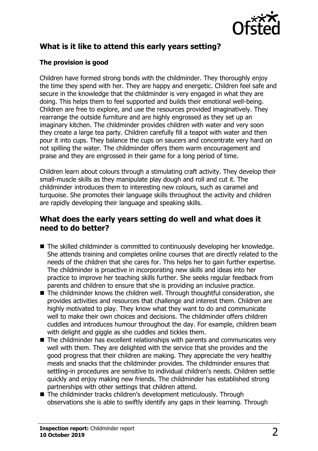

# **What is it like to attend this early years setting?**

## **The provision is good**

Children have formed strong bonds with the childminder. They thoroughly enjoy the time they spend with her. They are happy and energetic. Children feel safe and secure in the knowledge that the childminder is very engaged in what they are doing. This helps them to feel supported and builds their emotional well-being. Children are free to explore, and use the resources provided imaginatively. They rearrange the outside furniture and are highly engrossed as they set up an imaginary kitchen. The childminder provides children with water and very soon they create a large tea party. Children carefully fill a teapot with water and then pour it into cups. They balance the cups on saucers and concentrate very hard on not spilling the water. The childminder offers them warm encouragement and praise and they are engrossed in their game for a long period of time.

Children learn about colours through a stimulating craft activity. They develop their small-muscle skills as they manipulate play dough and roll and cut it. The childminder introduces them to interesting new colours, such as caramel and turquoise. She promotes their language skills throughout the activity and children are rapidly developing their language and speaking skills.

## **What does the early years setting do well and what does it need to do better?**

- $\blacksquare$  The skilled childminder is committed to continuously developing her knowledge. She attends training and completes online courses that are directly related to the needs of the children that she cares for. This helps her to gain further expertise. The childminder is proactive in incorporating new skills and ideas into her practice to improve her teaching skills further. She seeks regular feedback from parents and children to ensure that she is providing an inclusive practice.
- $\blacksquare$  The childminder knows the children well. Through thoughtful consideration, she provides activities and resources that challenge and interest them. Children are highly motivated to play. They know what they want to do and communicate well to make their own choices and decisions. The childminder offers children cuddles and introduces humour throughout the day. For example, children beam with delight and giggle as she cuddles and tickles them.
- $\blacksquare$  The childminder has excellent relationships with parents and communicates very well with them. They are delighted with the service that she provides and the good progress that their children are making. They appreciate the very healthy meals and snacks that the childminder provides. The childminder ensures that settling-in procedures are sensitive to individual children's needs. Children settle quickly and enjoy making new friends. The childminder has established strong partnerships with other settings that children attend.
- The childminder tracks children's development meticulously. Through observations she is able to swiftly identify any gaps in their learning. Through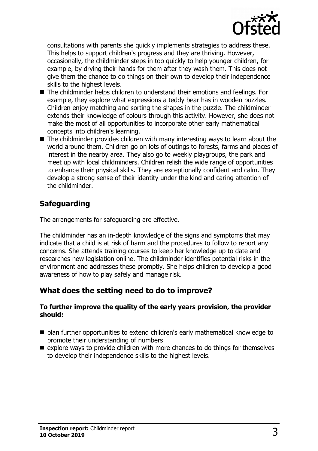

consultations with parents she quickly implements strategies to address these. This helps to support children's progress and they are thriving. However, occasionally, the childminder steps in too quickly to help younger children, for example, by drying their hands for them after they wash them. This does not give them the chance to do things on their own to develop their independence skills to the highest levels.

- $\blacksquare$  The childminder helps children to understand their emotions and feelings. For example, they explore what expressions a teddy bear has in wooden puzzles. Children enjoy matching and sorting the shapes in the puzzle. The childminder extends their knowledge of colours through this activity. However, she does not make the most of all opportunities to incorporate other early mathematical concepts into children's learning.
- $\blacksquare$  The childminder provides children with many interesting ways to learn about the world around them. Children go on lots of outings to forests, farms and places of interest in the nearby area. They also go to weekly playgroups, the park and meet up with local childminders. Children relish the wide range of opportunities to enhance their physical skills. They are exceptionally confident and calm. They develop a strong sense of their identity under the kind and caring attention of the childminder.

## **Safeguarding**

The arrangements for safeguarding are effective.

The childminder has an in-depth knowledge of the signs and symptoms that may indicate that a child is at risk of harm and the procedures to follow to report any concerns. She attends training courses to keep her knowledge up to date and researches new legislation online. The childminder identifies potential risks in the environment and addresses these promptly. She helps children to develop a good awareness of how to play safely and manage risk.

## **What does the setting need to do to improve?**

#### **To further improve the quality of the early years provision, the provider should:**

- $\blacksquare$  plan further opportunities to extend children's early mathematical knowledge to promote their understanding of numbers
- $\blacksquare$  explore ways to provide children with more chances to do things for themselves to develop their independence skills to the highest levels.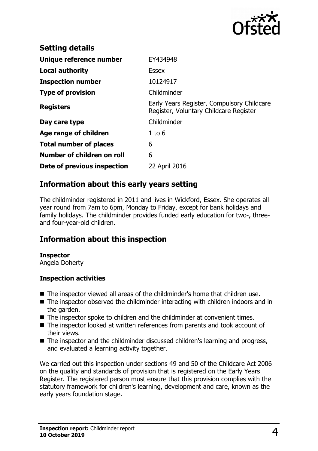

| <b>Setting details</b>        |                                                                                      |
|-------------------------------|--------------------------------------------------------------------------------------|
| Unique reference number       | EY434948                                                                             |
| Local authority               | <b>Essex</b>                                                                         |
| <b>Inspection number</b>      | 10124917                                                                             |
| <b>Type of provision</b>      | Childminder                                                                          |
| <b>Registers</b>              | Early Years Register, Compulsory Childcare<br>Register, Voluntary Childcare Register |
| Day care type                 | Childminder                                                                          |
| Age range of children         | $1$ to 6                                                                             |
| <b>Total number of places</b> | 6                                                                                    |
| Number of children on roll    | 6                                                                                    |
| Date of previous inspection   | 22 April 2016                                                                        |

## **Information about this early years setting**

The childminder registered in 2011 and lives in Wickford, Essex. She operates all year round from 7am to 6pm, Monday to Friday, except for bank holidays and family holidays. The childminder provides funded early education for two-, threeand four-year-old children.

## **Information about this inspection**

#### **Inspector**

Angela Doherty

### **Inspection activities**

- $\blacksquare$  The inspector viewed all areas of the childminder's home that children use.
- $\blacksquare$  The inspector observed the childminder interacting with children indoors and in the garden.
- $\blacksquare$  The inspector spoke to children and the childminder at convenient times.
- The inspector looked at written references from parents and took account of their views.
- $\blacksquare$  The inspector and the childminder discussed children's learning and progress, and evaluated a learning activity together.

We carried out this inspection under sections 49 and 50 of the Childcare Act 2006 on the quality and standards of provision that is registered on the Early Years Register. The registered person must ensure that this provision complies with the statutory framework for children's learning, development and care, known as the early years foundation stage.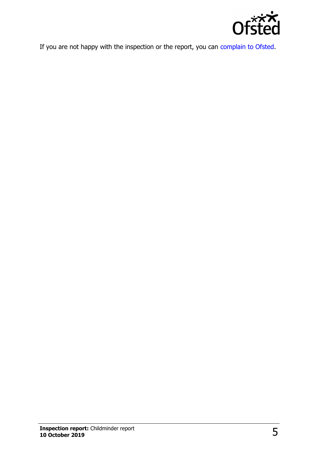

If you are not happy with the inspection or the report, you can [complain to Ofsted.](http://www.gov.uk/complain-ofsted-report)